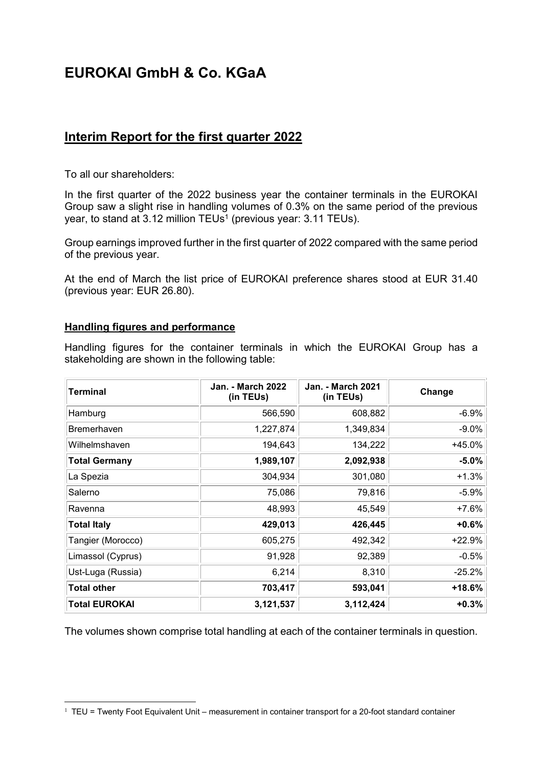# **EUROKAI GmbH & Co. KGaA**

# **Interim Report for the first quarter 2022**

To all our shareholders:

In the first quarter of the 2022 business year the container terminals in the EUROKAI Group saw a slight rise in handling volumes of 0.3% on the same period of the previous year, to stand at 3.12 million TEUs<sup>1</sup> (previous year: 3.11 TEUs).

Group earnings improved further in the first quarter of 2022 compared with the same period of the previous year.

At the end of March the list price of EUROKAI preference shares stood at EUR 31.40 (previous year: EUR 26.80).

#### **Handling figures and performance**

 $\overline{a}$ 

Handling figures for the container terminals in which the EUROKAI Group has a stakeholding are shown in the following table:

| <b>Terminal</b>      | <b>Jan. - March 2022</b><br>(in TEUs) | <b>Jan. - March 2021</b><br>(in TEUs) | Change   |
|----------------------|---------------------------------------|---------------------------------------|----------|
| Hamburg              | 566,590                               | 608,882                               | $-6.9%$  |
| <b>Bremerhaven</b>   | 1,227,874                             | 1,349,834                             | $-9.0\%$ |
| Wilhelmshaven        | 194,643                               | 134,222                               | +45.0%   |
| <b>Total Germany</b> | 1,989,107                             | 2,092,938                             | $-5.0%$  |
| La Spezia            | 304,934                               | 301,080                               | $+1.3%$  |
| Salerno              | 75,086                                | 79,816                                | $-5.9%$  |
| Ravenna              | 48,993                                | 45,549                                | $+7.6%$  |
| <b>Total Italy</b>   | 429,013                               | 426,445                               | $+0.6%$  |
| Tangier (Morocco)    | 605,275                               | 492,342                               | +22.9%   |
| Limassol (Cyprus)    | 91,928                                | 92,389                                | $-0.5%$  |
| Ust-Luga (Russia)    | 6,214                                 | 8,310                                 | $-25.2%$ |
| <b>Total other</b>   | 703,417                               | 593,041                               | $+18.6%$ |
| <b>Total EUROKAI</b> | 3,121,537                             | 3,112,424                             | $+0.3%$  |

The volumes shown comprise total handling at each of the container terminals in question.

<sup>&</sup>lt;sup>1</sup> TEU = Twenty Foot Equivalent Unit – measurement in container transport for a 20-foot standard container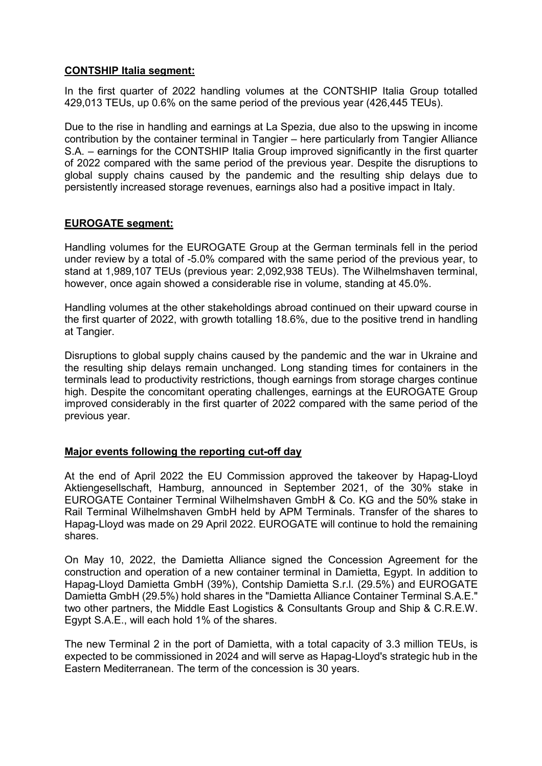#### **CONTSHIP Italia segment:**

In the first quarter of 2022 handling volumes at the CONTSHIP Italia Group totalled 429,013 TEUs, up 0.6% on the same period of the previous year (426,445 TEUs).

Due to the rise in handling and earnings at La Spezia, due also to the upswing in income contribution by the container terminal in Tangier – here particularly from Tangier Alliance S.A. – earnings for the CONTSHIP Italia Group improved significantly in the first quarter of 2022 compared with the same period of the previous year. Despite the disruptions to global supply chains caused by the pandemic and the resulting ship delays due to persistently increased storage revenues, earnings also had a positive impact in Italy.

# **EUROGATE segment:**

Handling volumes for the EUROGATE Group at the German terminals fell in the period under review by a total of -5.0% compared with the same period of the previous year, to stand at 1,989,107 TEUs (previous year: 2,092,938 TEUs). The Wilhelmshaven terminal, however, once again showed a considerable rise in volume, standing at 45.0%.

Handling volumes at the other stakeholdings abroad continued on their upward course in the first quarter of 2022, with growth totalling 18.6%, due to the positive trend in handling at Tangier.

Disruptions to global supply chains caused by the pandemic and the war in Ukraine and the resulting ship delays remain unchanged. Long standing times for containers in the terminals lead to productivity restrictions, though earnings from storage charges continue high. Despite the concomitant operating challenges, earnings at the EUROGATE Group improved considerably in the first quarter of 2022 compared with the same period of the previous year.

# **Major events following the reporting cut-off day**

At the end of April 2022 the EU Commission approved the takeover by Hapag-Lloyd Aktiengesellschaft, Hamburg, announced in September 2021, of the 30% stake in EUROGATE Container Terminal Wilhelmshaven GmbH & Co. KG and the 50% stake in Rail Terminal Wilhelmshaven GmbH held by APM Terminals. Transfer of the shares to Hapag-Lloyd was made on 29 April 2022. EUROGATE will continue to hold the remaining shares.

On May 10, 2022, the Damietta Alliance signed the Concession Agreement for the construction and operation of a new container terminal in Damietta, Egypt. In addition to Hapag-Lloyd Damietta GmbH (39%), Contship Damietta S.r.l. (29.5%) and EUROGATE Damietta GmbH (29.5%) hold shares in the "Damietta Alliance Container Terminal S.A.E." two other partners, the Middle East Logistics & Consultants Group and Ship & C.R.E.W. Egypt S.A.E., will each hold 1% of the shares.

The new Terminal 2 in the port of Damietta, with a total capacity of 3.3 million TEUs, is expected to be commissioned in 2024 and will serve as Hapag-Lloyd's strategic hub in the Eastern Mediterranean. The term of the concession is 30 years.